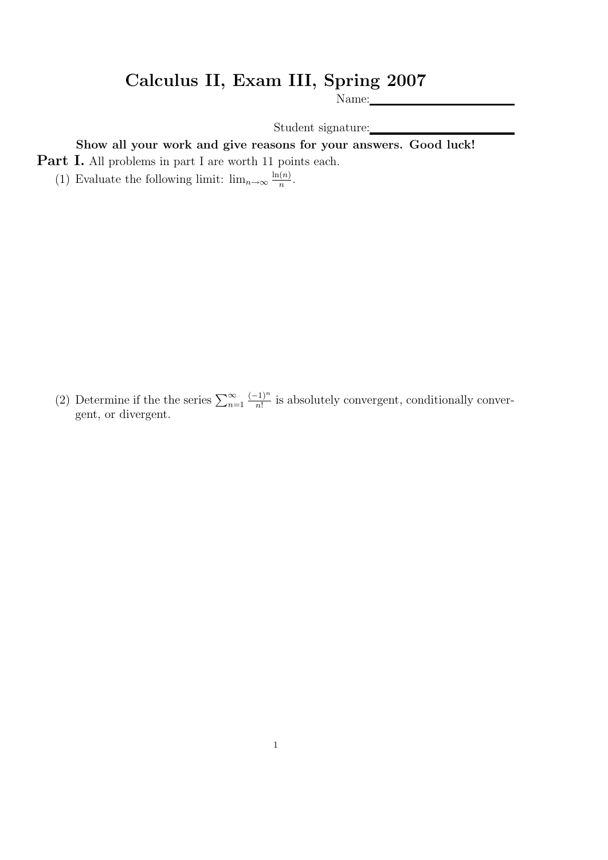## Calculus II, Exam III, Spring 2007

Name:

Student signature:

Show all your work and give reasons for your answers. Good luck!

Part I. All problems in part I are worth 11 points each.

(1) Evaluate the following limit:  $\lim_{n\to\infty} \frac{\ln(n)}{n}$  $\frac{(n)}{n}$ .

(2) Determine if the the series  $\sum_{n=1}^{\infty}$  $(-1)^n$  $\frac{(-1)^n}{n!}$  is absolutely convergent, conditionally convergent, or divergent.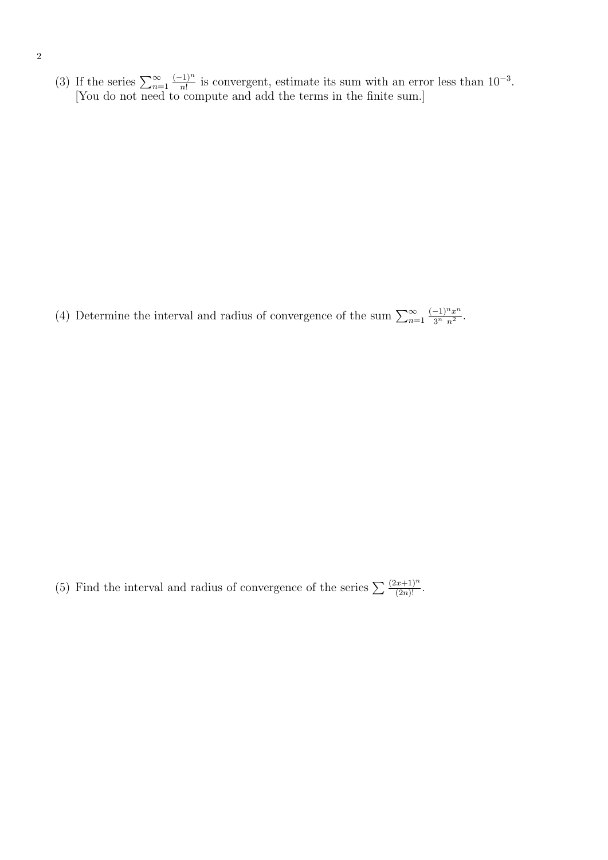(3) If the series  $\sum_{n=1}^{\infty}$  $(-1)^n$  $\frac{(-1)^n}{n!}$  is convergent, estimate its sum with an error less than  $10^{-3}$ . [You do not need to compute and add the terms in the finite sum.]

(4) Determine the interval and radius of convergence of the sum  $\sum_{n=1}^{\infty}$  $(-1)^n x^n$  $rac{-1)^n x^n}{3^n n^2}$ .

(5) Find the interval and radius of convergence of the series  $\sum \frac{(2x+1)^n}{(2n)!}$ .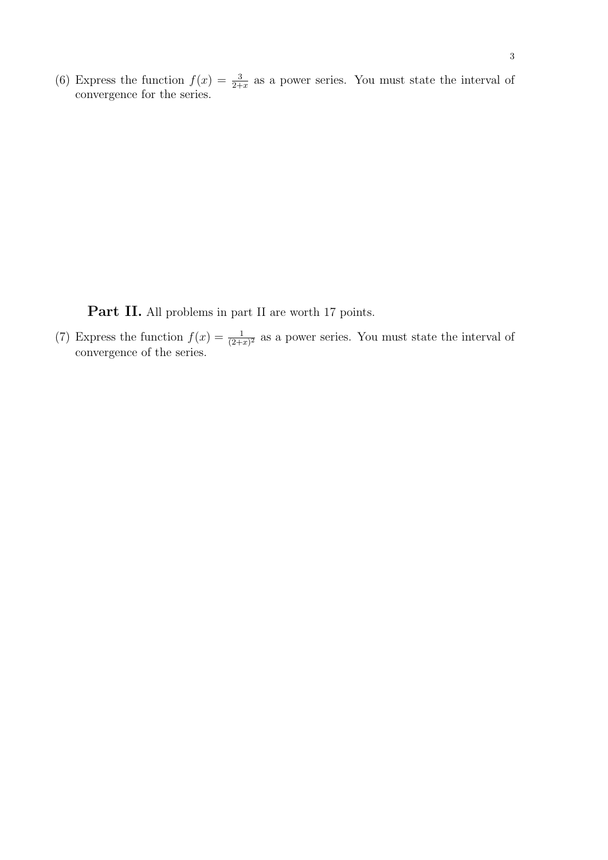(6) Express the function  $f(x) = \frac{3}{2+x}$  as a power series. You must state the interval of convergence for the series.

Part II. All problems in part II are worth 17 points.

(7) Express the function  $f(x) = \frac{1}{(2+x)^2}$  as a power series. You must state the interval of convergence of the series.